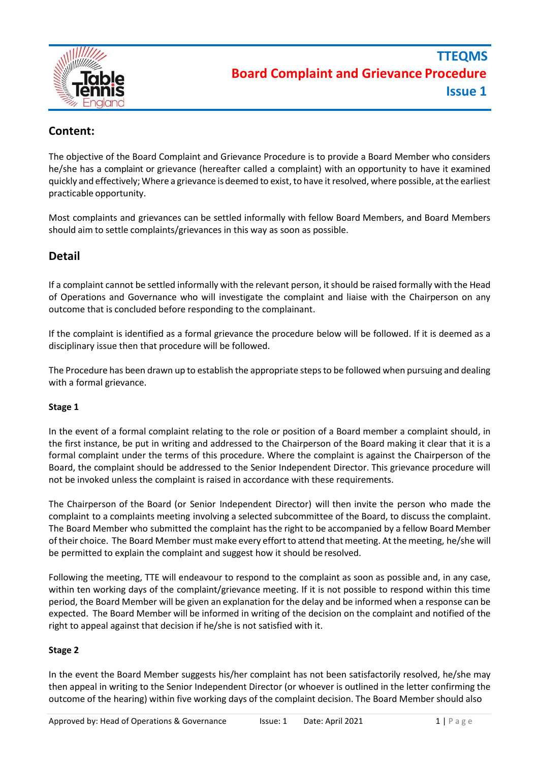

## **Content:**

The objective of the Board Complaint and Grievance Procedure is to provide a Board Member who considers he/she has a complaint or grievance (hereafter called a complaint) with an opportunity to have it examined quickly and effectively;Where a grievance is deemed to exist, to have it resolved, where possible, at the earliest practicable opportunity.

Most complaints and grievances can be settled informally with fellow Board Members, and Board Members should aim to settle complaints/grievances in this way as soon as possible.

## **Detail**

If a complaint cannot be settled informally with the relevant person, itshould be raised formally with the Head of Operations and Governance who will investigate the complaint and liaise with the Chairperson on any outcome that is concluded before responding to the complainant.

If the complaint is identified as a formal grievance the procedure below will be followed. If it is deemed as a disciplinary issue then that procedure will be followed.

The Procedure has been drawn up to establish the appropriate steps to be followed when pursuing and dealing with a formal grievance.

#### **Stage 1**

In the event of a formal complaint relating to the role or position of a Board member a complaint should, in the first instance, be put in writing and addressed to the Chairperson of the Board making it clear that it is a formal complaint under the terms of this procedure. Where the complaint is against the Chairperson of the Board, the complaint should be addressed to the Senior Independent Director. This grievance procedure will not be invoked unless the complaint is raised in accordance with these requirements.

The Chairperson of the Board (or Senior Independent Director) will then invite the person who made the complaint to a complaints meeting involving a selected subcommittee of the Board, to discuss the complaint. The Board Member who submitted the complaint hasthe right to be accompanied by a fellow Board Member oftheir choice. The Board Member must make every effortto attend that meeting. At the meeting, he/she will be permitted to explain the complaint and suggest how it should be resolved.

Following the meeting, TTE will endeavour to respond to the complaint as soon as possible and, in any case, within ten working days of the complaint/grievance meeting. If it is not possible to respond within this time period, the Board Member will be given an explanation for the delay and be informed when a response can be expected. The Board Member will be informed in writing of the decision on the complaint and notified of the right to appeal against that decision if he/she is not satisfied with it.

#### **Stage 2**

In the event the Board Member suggests his/her complaint has not been satisfactorily resolved, he/she may then appeal in writing to the Senior Independent Director (or whoever is outlined in the letter confirming the outcome of the hearing) within five working days of the complaint decision. The Board Member should also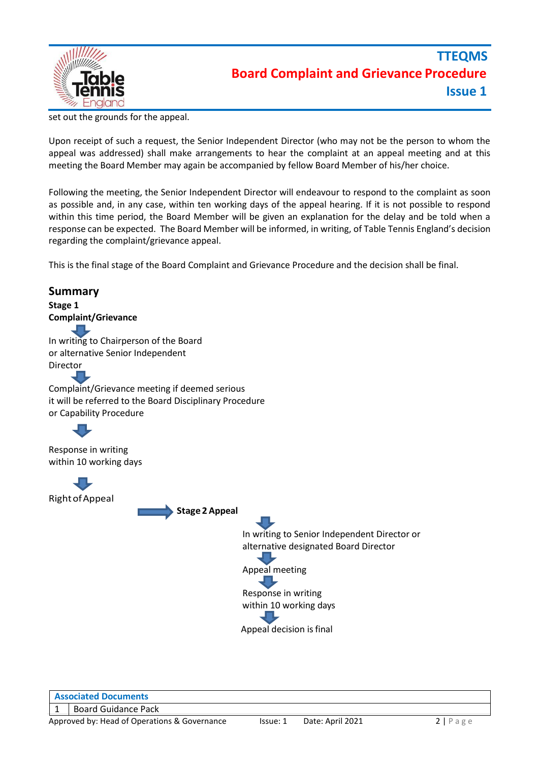

set out the grounds for the appeal.

Upon receipt of such a request, the Senior Independent Director (who may not be the person to whom the appeal was addressed) shall make arrangements to hear the complaint at an appeal meeting and at this meeting the Board Member may again be accompanied by fellow Board Member of his/her choice.

Following the meeting, the Senior Independent Director will endeavour to respond to the complaint as soon as possible and, in any case, within ten working days of the appeal hearing. If it is not possible to respond within this time period, the Board Member will be given an explanation for the delay and be told when a response can be expected. The Board Member will be informed, in writing, of Table Tennis England's decision regarding the complaint/grievance appeal.

This is the final stage of the Board Complaint and Grievance Procedure and the decision shall be final.

# **Summary Stage 1 Complaint/Grievance** In writing to Chairperson of the Board or alternative Senior Independent Director Complaint/Grievance meeting if deemed serious it will be referred to the Board Disciplinary Procedure or Capability Procedure Response in writing within 10 working days RightofAppeal **Stage 2 Appeal** In writing to Senior Independent Director or alternative designated Board Director Appeal meeting Response in writing within 10 working days Appeal decision is final

**Associated Documents**

1 | Board Guidance Pack

Approved by: Head of Operations & Governance Issue: 1 Date: April 2021 2 | P a g e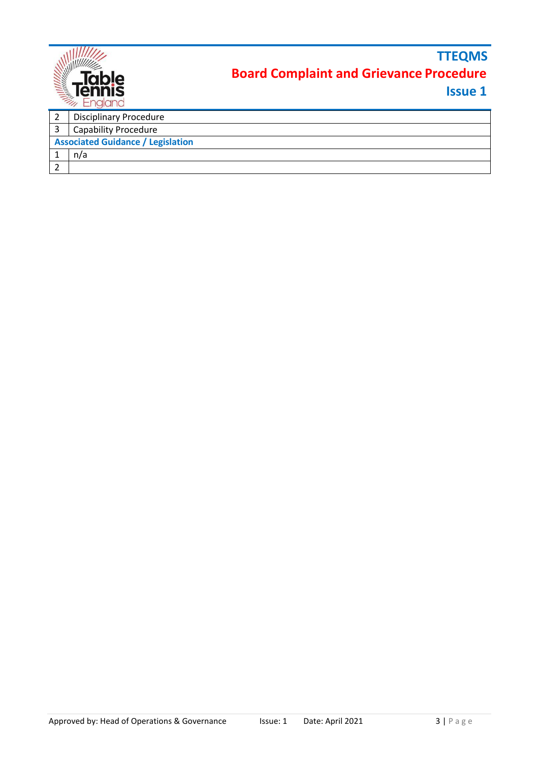|                                          | $\frac{1}{\sum_{i=1}^{n} \frac{1}{\sum_{i=1}^{n} \frac{1}{\sum_{i=1}^{n} \frac{1}{\sum_{i=1}^{n} \frac{1}{\sum_{i=1}^{n} \frac{1}{\sum_{i=1}^{n} \frac{1}{\sum_{i=1}^{n} \frac{1}{\sum_{i=1}^{n} \frac{1}{\sum_{i=1}^{n} \frac{1}{\sum_{i=1}^{n} \frac{1}{\sum_{i=1}^{n} \frac{1}{\sum_{i=1}^{n} \frac{1}{\sum_{i=1}^{n} \frac{1}{\sum_{i=1}^{n} \frac{1}{\sum_{i=$ | <b>TTEQMS</b><br><b>Board Complaint and Grievance Procedure</b><br><b>Issue 1</b> |  |
|------------------------------------------|---------------------------------------------------------------------------------------------------------------------------------------------------------------------------------------------------------------------------------------------------------------------------------------------------------------------------------------------------------------------|-----------------------------------------------------------------------------------|--|
| 2                                        | <b>Disciplinary Procedure</b>                                                                                                                                                                                                                                                                                                                                       |                                                                                   |  |
| 3                                        | <b>Capability Procedure</b>                                                                                                                                                                                                                                                                                                                                         |                                                                                   |  |
| <b>Associated Guidance / Legislation</b> |                                                                                                                                                                                                                                                                                                                                                                     |                                                                                   |  |
|                                          | n/a                                                                                                                                                                                                                                                                                                                                                                 |                                                                                   |  |
| 2                                        |                                                                                                                                                                                                                                                                                                                                                                     |                                                                                   |  |